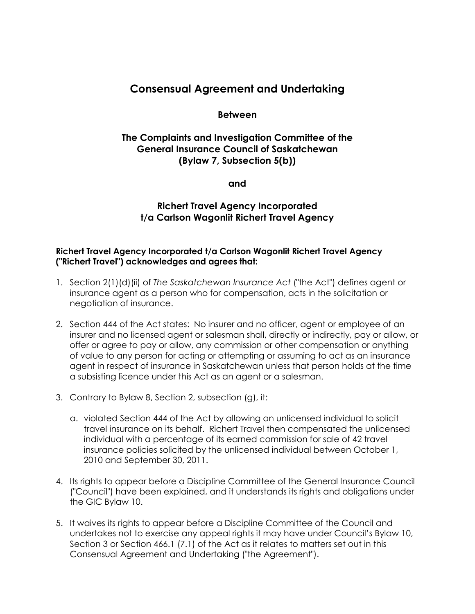# **Consensual Agreement and Undertaking**

## **Between**

# **The Complaints and Investigation Committee of the General Insurance Council of Saskatchewan (Bylaw 7, Subsection 5(b))**

**and**

# **Richert Travel Agency Incorporated t/a Carlson Wagonlit Richert Travel Agency**

### **Richert Travel Agency Incorporated t/a Carlson Wagonlit Richert Travel Agency ("Richert Travel") acknowledges and agrees that:**

- 1. Section 2(1)(d)(ii) of *The Saskatchewan Insurance Act* ("the Act") defines agent or insurance agent as a person who for compensation, acts in the solicitation or negotiation of insurance.
- 2. Section 444 of the Act states: No insurer and no officer, agent or employee of an insurer and no licensed agent or salesman shall, directly or indirectly, pay or allow, or offer or agree to pay or allow, any commission or other compensation or anything of value to any person for acting or attempting or assuming to act as an insurance agent in respect of insurance in Saskatchewan unless that person holds at the time a subsisting licence under this Act as an agent or a salesman.
- 3. Contrary to Bylaw 8, Section 2, subsection (g), it:
	- a. violated Section 444 of the Act by allowing an unlicensed individual to solicit travel insurance on its behalf. Richert Travel then compensated the unlicensed individual with a percentage of its earned commission for sale of 42 travel insurance policies solicited by the unlicensed individual between October 1, 2010 and September 30, 2011.
- 4. Its rights to appear before a Discipline Committee of the General Insurance Council ("Council") have been explained, and it understands its rights and obligations under the GIC Bylaw 10.
- 5. It waives its rights to appear before a Discipline Committee of the Council and undertakes not to exercise any appeal rights it may have under Council's Bylaw 10, Section 3 or Section 466.1 (7.1) of the Act as it relates to matters set out in this Consensual Agreement and Undertaking ("the Agreement").